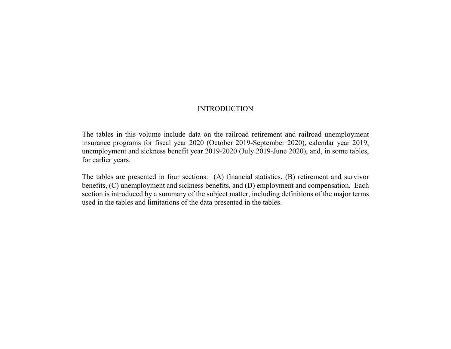# INTRODUCTION

The tables in this volume include data on the railroad retirement and railroad unemployment insurance programs for fiscal year 2020 (October 2019-September 2020), calendar year 2019, unemployment and sickness benefit year 2019-2020 (July 2019-June 2020), and, in some tables, for earlier years.

The tables are presented in four sections: (A) financial statistics, (B) retirement and survivor benefits, (C) unemployment and sickness benefits, and (D) employment and compensation. Each section is introduced by a summary of the subject matter, including definitions of the major terms used in the tables and limitations of the data presented in the tables.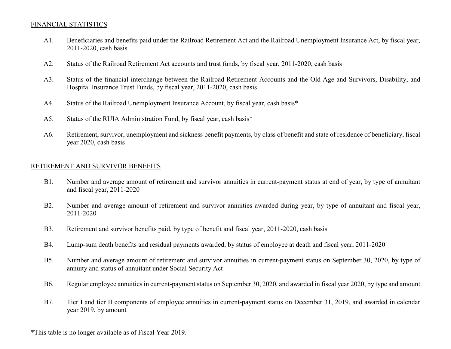#### FINANCIAL STATISTICS

- A1. Beneficiaries and benefits paid under the Railroad Retirement Act and the Railroad Unemployment Insurance Act, by fiscal year, 2011-2020, cash basis
- A2. Status of the Railroad Retirement Act accounts and trust funds, by fiscal year, 2011-2020, cash basis
- A3. Status of the financial interchange between the Railroad Retirement Accounts and the Old-Age and Survivors, Disability, and Hospital Insurance Trust Funds, by fiscal year, 2011-2020, cash basis
- A4. Status of the Railroad Unemployment Insurance Account, by fiscal year, cash basis\*
- A5. Status of the RUIA Administration Fund, by fiscal year, cash basis\*
- A6. Retirement, survivor, unemployment and sickness benefit payments, by class of benefit and state of residence of beneficiary, fiscal year 2020, cash basis

### RETIREMENT AND SURVIVOR BENEFITS

- B1. Number and average amount of retirement and survivor annuities in current-payment status at end of year, by type of annuitant and fiscal year, 2011-2020
- B2. Number and average amount of retirement and survivor annuities awarded during year, by type of annuitant and fiscal year, 2011-2020
- B3. Retirement and survivor benefits paid, by type of benefit and fiscal year, 2011-2020, cash basis
- B4. Lump-sum death benefits and residual payments awarded, by status of employee at death and fiscal year, 2011-2020
- B5. Number and average amount of retirement and survivor annuities in current-payment status on September 30, 2020, by type of annuity and status of annuitant under Social Security Act
- B6. Regular employee annuities in current-payment status on September 30, 2020, and awarded in fiscal year 2020, by type and amount
- B7. Tier I and tier II components of employee annuities in current-payment status on December 31, 2019, and awarded in calendar year 2019, by amount

\*This table is no longer available as of Fiscal Year 2019.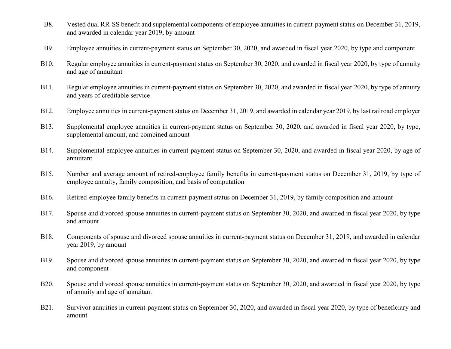- B8. Vested dual RR-SS benefit and supplemental components of employee annuities in current-payment status on December 31, 2019, and awarded in calendar year 2019, by amount
- B9. Employee annuities in current-payment status on September 30, 2020, and awarded in fiscal year 2020, by type and component
- B10. Regular employee annuities in current-payment status on September 30, 2020, and awarded in fiscal year 2020, by type of annuity and age of annuitant
- B11. Regular employee annuities in current-payment status on September 30, 2020, and awarded in fiscal year 2020, by type of annuity and years of creditable service
- B12. Employee annuities in current-payment status on December 31, 2019, and awarded in calendar year 2019, by last railroad employer
- B13. Supplemental employee annuities in current-payment status on September 30, 2020, and awarded in fiscal year 2020, by type, supplemental amount, and combined amount
- B14. Supplemental employee annuities in current-payment status on September 30, 2020, and awarded in fiscal year 2020, by age of annuitant
- B15. Number and average amount of retired-employee family benefits in current-payment status on December 31, 2019, by type of employee annuity, family composition, and basis of computation
- B16. Retired-employee family benefits in current-payment status on December 31, 2019, by family composition and amount
- B17. Spouse and divorced spouse annuities in current-payment status on September 30, 2020, and awarded in fiscal year 2020, by type and amount
- B18. Components of spouse and divorced spouse annuities in current-payment status on December 31, 2019, and awarded in calendar year 2019, by amount
- B19. Spouse and divorced spouse annuities in current-payment status on September 30, 2020, and awarded in fiscal year 2020, by type and component
- B20. Spouse and divorced spouse annuities in current-payment status on September 30, 2020, and awarded in fiscal year 2020, by type of annuity and age of annuitant
- B21. Survivor annuities in current-payment status on September 30, 2020, and awarded in fiscal year 2020, by type of beneficiary and amount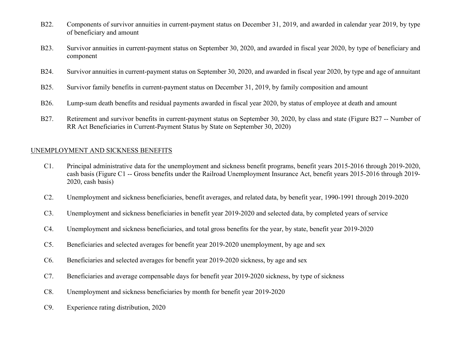- B22. Components of survivor annuities in current-payment status on December 31, 2019, and awarded in calendar year 2019, by type of beneficiary and amount
- B23. Survivor annuities in current-payment status on September 30, 2020, and awarded in fiscal year 2020, by type of beneficiary and component
- B24. Survivor annuities in current-payment status on September 30, 2020, and awarded in fiscal year 2020, by type and age of annuitant
- B25. Survivor family benefits in current-payment status on December 31, 2019, by family composition and amount
- B26. Lump-sum death benefits and residual payments awarded in fiscal year 2020, by status of employee at death and amount
- B27. Retirement and survivor benefits in current-payment status on September 30, 2020, by class and state (Figure B27 -- Number of RR Act Beneficiaries in Current-Payment Status by State on September 30, 2020)

## UNEMPLOYMENT AND SICKNESS BENEFITS

- C1. Principal administrative data for the unemployment and sickness benefit programs, benefit years 2015-2016 through 2019-2020, cash basis (Figure C1 -- Gross benefits under the Railroad Unemployment Insurance Act, benefit years 2015-2016 through 2019- 2020, cash basis)
- C2. Unemployment and sickness beneficiaries, benefit averages, and related data, by benefit year, 1990-1991 through 2019-2020
- C3. Unemployment and sickness beneficiaries in benefit year 2019-2020 and selected data, by completed years of service
- C4. Unemployment and sickness beneficiaries, and total gross benefits for the year, by state, benefit year 2019-2020
- C5. Beneficiaries and selected averages for benefit year 2019-2020 unemployment, by age and sex
- C6. Beneficiaries and selected averages for benefit year 2019-2020 sickness, by age and sex
- C7. Beneficiaries and average compensable days for benefit year 2019-2020 sickness, by type of sickness
- C8. Unemployment and sickness beneficiaries by month for benefit year 2019-2020
- C9. Experience rating distribution, 2020